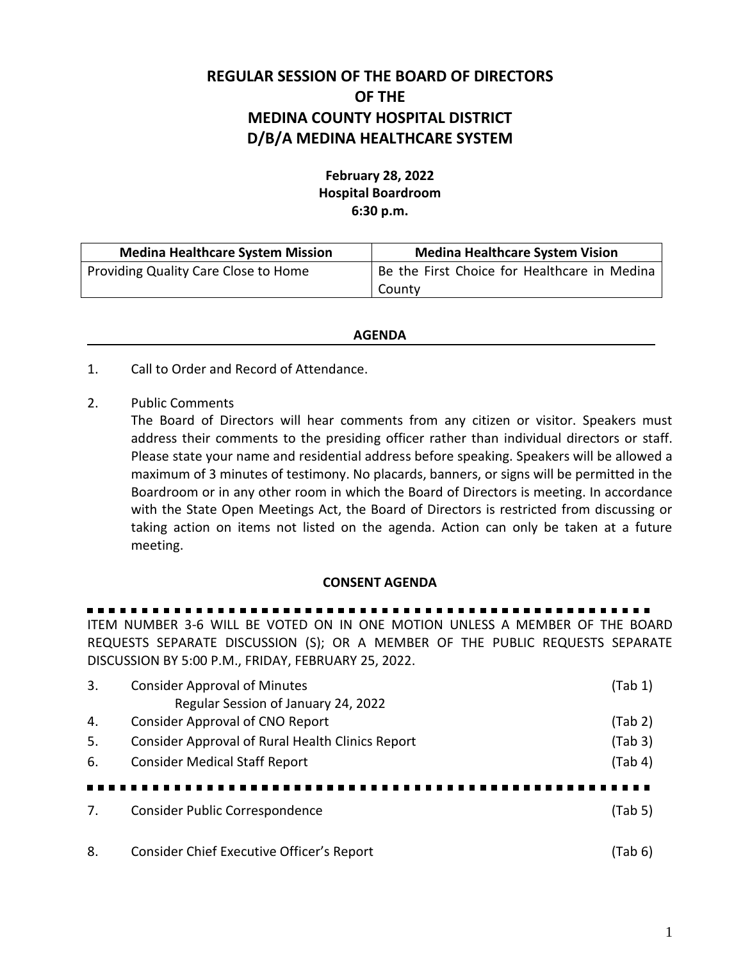## **REGULAR SESSION OF THE BOARD OF DIRECTORS OF THE MEDINA COUNTY HOSPITAL DISTRICT D/B/A MEDINA HEALTHCARE SYSTEM**

## **February 28, 2022 Hospital Boardroom 6:30 p.m.**

| <b>Medina Healthcare System Mission</b> | <b>Medina Healthcare System Vision</b>       |  |
|-----------------------------------------|----------------------------------------------|--|
| Providing Quality Care Close to Home    | Be the First Choice for Healthcare in Medina |  |
|                                         | County                                       |  |

## **AGENDA**

- 1. Call to Order and Record of Attendance.
- 2. Public Comments

The Board of Directors will hear comments from any citizen or visitor. Speakers must address their comments to the presiding officer rather than individual directors or staff. Please state your name and residential address before speaking. Speakers will be allowed a maximum of 3 minutes of testimony. No placards, banners, or signs will be permitted in the Boardroom or in any other room in which the Board of Directors is meeting. In accordance with the State Open Meetings Act, the Board of Directors is restricted from discussing or taking action on items not listed on the agenda. Action can only be taken at a future meeting.

## **CONSENT AGENDA**

ITEM NUMBER 3-6 WILL BE VOTED ON IN ONE MOTION UNLESS A MEMBER OF THE BOARD REQUESTS SEPARATE DISCUSSION (S); OR A MEMBER OF THE PUBLIC REQUESTS SEPARATE DISCUSSION BY 5:00 P.M., FRIDAY, FEBRUARY 25, 2022.

| 3.  | <b>Consider Approval of Minutes</b><br>Regular Session of January 24, 2022 | (Tab 1) |
|-----|----------------------------------------------------------------------------|---------|
| 4.  | Consider Approval of CNO Report                                            | (Tab 2) |
| -5. | Consider Approval of Rural Health Clinics Report                           | (Tab 3) |
| 6.  | <b>Consider Medical Staff Report</b>                                       | (Tab 4) |
|     |                                                                            |         |
| 7.  | Consider Public Correspondence                                             | (Tab 5) |
|     |                                                                            |         |
| 8.  | Consider Chief Executive Officer's Report                                  | (Tab 6) |